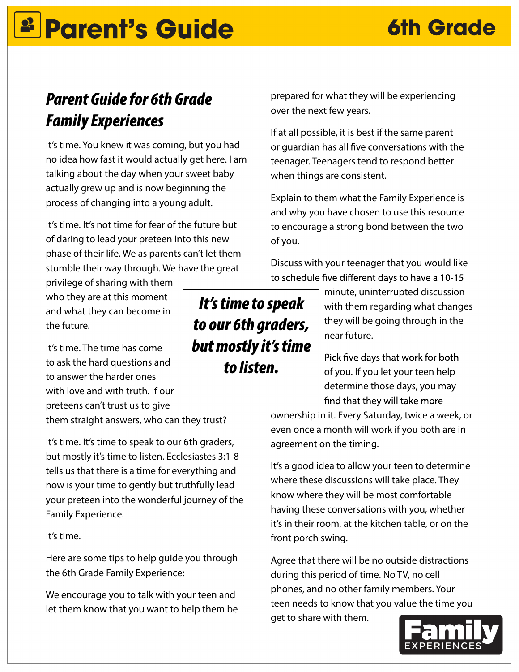# *S* Parent's Guide

### **6th Grade**

### *Parent Guide for 6th Grade Family Experiences*

It's time. You knew it was coming, but you had no idea how fast it would actually get here. I am talking about the day when your sweet baby actually grew up and is now beginning the process of changing into a young adult.

It's time. It's not time for fear of the future but of daring to lead your preteen into this new phase of their life. We as parents can't let them stumble their way through. We have the great

privilege of sharing with them who they are at this moment and what they can become in the future.

It's time. The time has come to ask the hard questions and to answer the harder ones with love and with truth. If our preteens can't trust us to give them straight answers, who can they trust?

It's time. It's time to speak to our 6th graders, but mostly it's time to listen. Ecclesiastes 3:1-8 tells us that there is a time for everything and now is your time to gently but truthfully lead your preteen into the wonderful journey of the Family Experience.

#### It's time.

Here are some tips to help guide you through the 6th Grade Family Experience:

We encourage you to talk with your teen and let them know that you want to help them be

prepared for what they will be experiencing over the next few years.

If at all possible, it is best if the same parent or quardian has all five conversations with the teenager. Teenagers tend to respond better when things are consistent.

Explain to them what the Family Experience is and why you have chosen to use this resource to encourage a strong bond between the two of you.

Discuss with your teenager that you would like to schedule five different days to have a 10-15

*It's time to speak to our 6th graders, but mostly it's time to listen.*

minute, uninterrupted discussion with them regarding what changes they will be going through in the near future.

Pick five days that work for both of you. If you let your teen help determine those days, you may find that they will take more

ownership in it. Every Saturday, twice a week, or even once a month will work if you both are in agreement on the timing.

It's a good idea to allow your teen to determine where these discussions will take place. They know where they will be most comfortable having these conversations with you, whether it's in their room, at the kitchen table, or on the front porch swing.

Agree that there will be no outside distractions during this period of time. No TV, no cell phones, and no other family members. Your teen needs to know that you value the time you get to share with them.